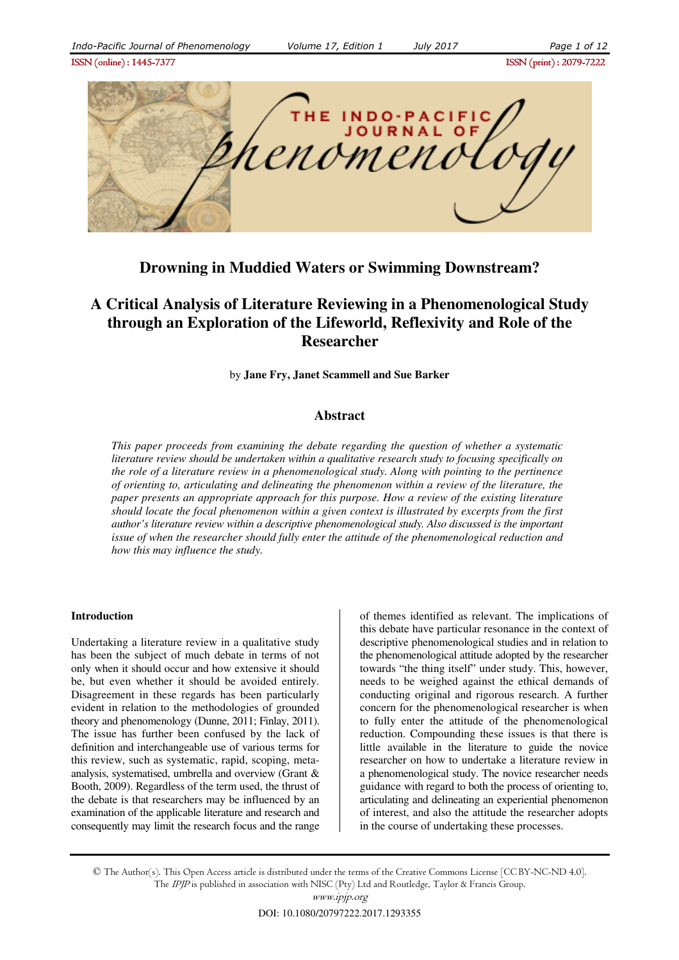

# **Drowning in Muddied Waters or Swimming Downstream?**

# **A Critical Analysis of Literature Reviewing in a Phenomenological Study through an Exploration of the Lifeworld, Reflexivity and Role of the Researcher**

by **Jane Fry, Janet Scammell and Sue Barker**

## **Abstract**

*This paper proceeds from examining the debate regarding the question of whether a systematic literature review should be undertaken within a qualitative research study to focusing specifically on the role of a literature review in a phenomenological study. Along with pointing to the pertinence of orienting to, articulating and delineating the phenomenon within a review of the literature, the paper presents an appropriate approach for this purpose. How a review of the existing literature should locate the focal phenomenon within a given context is illustrated by excerpts from the first author's literature review within a descriptive phenomenological study. Also discussed is the important issue of when the researcher should fully enter the attitude of the phenomenological reduction and how this may influence the study.* 

#### **Introduction**

Undertaking a literature review in a qualitative study has been the subject of much debate in terms of not only when it should occur and how extensive it should be, but even whether it should be avoided entirely. Disagreement in these regards has been particularly evident in relation to the methodologies of grounded theory and phenomenology (Dunne, 2011; Finlay, 2011). The issue has further been confused by the lack of definition and interchangeable use of various terms for this review, such as systematic, rapid, scoping, metaanalysis, systematised, umbrella and overview (Grant & Booth, 2009). Regardless of the term used, the thrust of the debate is that researchers may be influenced by an examination of the applicable literature and research and consequently may limit the research focus and the range

of themes identified as relevant. The implications of this debate have particular resonance in the context of descriptive phenomenological studies and in relation to the phenomenological attitude adopted by the researcher towards "the thing itself" under study. This, however, needs to be weighed against the ethical demands of conducting original and rigorous research. A further concern for the phenomenological researcher is when to fully enter the attitude of the phenomenological reduction. Compounding these issues is that there is little available in the literature to guide the novice researcher on how to undertake a literature review in a phenomenological study. The novice researcher needs guidance with regard to both the process of orienting to, articulating and delineating an experiential phenomenon of interest, and also the attitude the researcher adopts in the course of undertaking these processes.

© The Author(s). This Open Access article is distributed under the terms of the Creative Commons License [CC BY-NC-ND 4.0]. The IPJP is published in association with NISC (Pty) Ltd and Routledge, Taylor & Francis Group.

> www.ipjp.org DOI: 10.1080/20797222.2017.1293355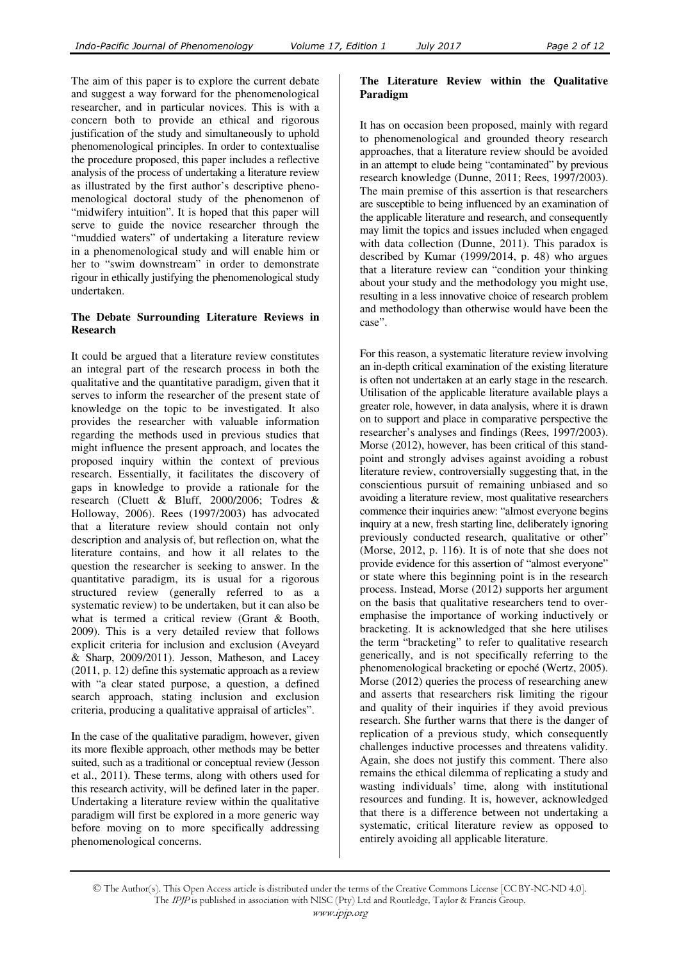The aim of this paper is to explore the current debate and suggest a way forward for the phenomenological researcher, and in particular novices. This is with a concern both to provide an ethical and rigorous justification of the study and simultaneously to uphold phenomenological principles. In order to contextualise the procedure proposed, this paper includes a reflective analysis of the process of undertaking a literature review as illustrated by the first author's descriptive phenomenological doctoral study of the phenomenon of "midwifery intuition". It is hoped that this paper will serve to guide the novice researcher through the "muddied waters" of undertaking a literature review in a phenomenological study and will enable him or her to "swim downstream" in order to demonstrate rigour in ethically justifying the phenomenological study undertaken.

# **The Debate Surrounding Literature Reviews in Research**

It could be argued that a literature review constitutes an integral part of the research process in both the qualitative and the quantitative paradigm, given that it serves to inform the researcher of the present state of knowledge on the topic to be investigated. It also provides the researcher with valuable information regarding the methods used in previous studies that might influence the present approach, and locates the proposed inquiry within the context of previous research. Essentially, it facilitates the discovery of gaps in knowledge to provide a rationale for the research (Cluett & Bluff, 2000/2006; Todres & Holloway, 2006). Rees (1997/2003) has advocated that a literature review should contain not only description and analysis of, but reflection on, what the literature contains, and how it all relates to the question the researcher is seeking to answer. In the quantitative paradigm, its is usual for a rigorous structured review (generally referred to as a systematic review) to be undertaken, but it can also be what is termed a critical review (Grant & Booth, 2009). This is a very detailed review that follows explicit criteria for inclusion and exclusion (Aveyard & Sharp, 2009/2011). Jesson, Matheson, and Lacey (2011, p. 12) define this systematic approach as a review with "a clear stated purpose, a question, a defined search approach, stating inclusion and exclusion criteria, producing a qualitative appraisal of articles".

In the case of the qualitative paradigm, however, given its more flexible approach, other methods may be better suited, such as a traditional or conceptual review (Jesson et al., 2011). These terms, along with others used for this research activity, will be defined later in the paper. Undertaking a literature review within the qualitative paradigm will first be explored in a more generic way before moving on to more specifically addressing phenomenological concerns.

# **The Literature Review within the Qualitative Paradigm**

It has on occasion been proposed, mainly with regard to phenomenological and grounded theory research approaches, that a literature review should be avoided in an attempt to elude being "contaminated" by previous research knowledge (Dunne, 2011; Rees, 1997/2003). The main premise of this assertion is that researchers are susceptible to being influenced by an examination of the applicable literature and research, and consequently may limit the topics and issues included when engaged with data collection (Dunne, 2011). This paradox is described by Kumar (1999/2014, p. 48) who argues that a literature review can "condition your thinking about your study and the methodology you might use, resulting in a less innovative choice of research problem and methodology than otherwise would have been the case".

For this reason, a systematic literature review involving an in-depth critical examination of the existing literature is often not undertaken at an early stage in the research. Utilisation of the applicable literature available plays a greater role, however, in data analysis, where it is drawn on to support and place in comparative perspective the researcher's analyses and findings (Rees, 1997/2003). Morse (2012), however, has been critical of this standpoint and strongly advises against avoiding a robust literature review, controversially suggesting that, in the conscientious pursuit of remaining unbiased and so avoiding a literature review, most qualitative researchers commence their inquiries anew: "almost everyone begins inquiry at a new, fresh starting line, deliberately ignoring previously conducted research, qualitative or other" (Morse, 2012, p. 116). It is of note that she does not provide evidence for this assertion of "almost everyone" or state where this beginning point is in the research process. Instead, Morse (2012) supports her argument on the basis that qualitative researchers tend to overemphasise the importance of working inductively or bracketing. It is acknowledged that she here utilises the term "bracketing" to refer to qualitative research generically, and is not specifically referring to the phenomenological bracketing or epoché (Wertz, 2005). Morse (2012) queries the process of researching anew and asserts that researchers risk limiting the rigour and quality of their inquiries if they avoid previous research. She further warns that there is the danger of replication of a previous study, which consequently challenges inductive processes and threatens validity. Again, she does not justify this comment. There also remains the ethical dilemma of replicating a study and wasting individuals' time, along with institutional resources and funding. It is, however, acknowledged that there is a difference between not undertaking a systematic, critical literature review as opposed to entirely avoiding all applicable literature.

<sup>©</sup> The Author(s). This Open Access article is distributed under the terms of the Creative Commons License [CC BY-NC-ND 4.0]. The IPJP is published in association with NISC (Pty) Ltd and Routledge, Taylor & Francis Group. www.ipjp.org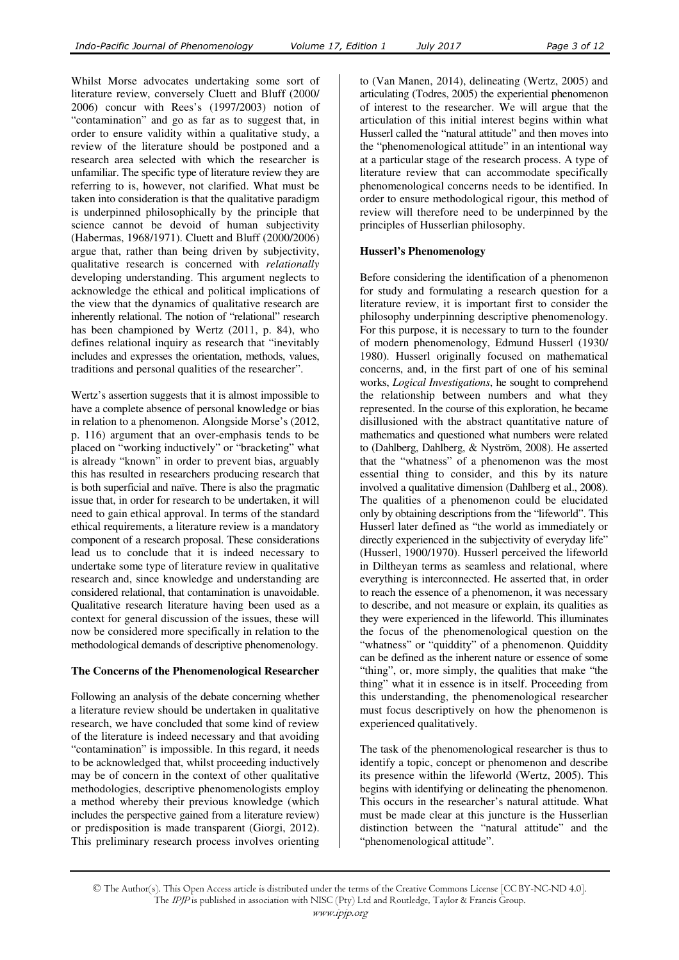Whilst Morse advocates undertaking some sort of literature review, conversely Cluett and Bluff (2000/ 2006) concur with Rees's (1997/2003) notion of "contamination" and go as far as to suggest that, in order to ensure validity within a qualitative study, a review of the literature should be postponed and a research area selected with which the researcher is unfamiliar. The specific type of literature review they are referring to is, however, not clarified. What must be taken into consideration is that the qualitative paradigm is underpinned philosophically by the principle that science cannot be devoid of human subjectivity (Habermas, 1968/1971). Cluett and Bluff (2000/2006) argue that, rather than being driven by subjectivity, qualitative research is concerned with *relationally* developing understanding. This argument neglects to acknowledge the ethical and political implications of the view that the dynamics of qualitative research are inherently relational. The notion of "relational" research has been championed by Wertz (2011, p. 84), who defines relational inquiry as research that "inevitably includes and expresses the orientation, methods, values, traditions and personal qualities of the researcher".

Wertz's assertion suggests that it is almost impossible to have a complete absence of personal knowledge or bias in relation to a phenomenon. Alongside Morse's (2012, p. 116) argument that an over-emphasis tends to be placed on "working inductively" or "bracketing" what is already "known" in order to prevent bias, arguably this has resulted in researchers producing research that is both superficial and naïve. There is also the pragmatic issue that, in order for research to be undertaken, it will need to gain ethical approval. In terms of the standard ethical requirements, a literature review is a mandatory component of a research proposal. These considerations lead us to conclude that it is indeed necessary to undertake some type of literature review in qualitative research and, since knowledge and understanding are considered relational, that contamination is unavoidable. Qualitative research literature having been used as a context for general discussion of the issues, these will now be considered more specifically in relation to the methodological demands of descriptive phenomenology.

## **The Concerns of the Phenomenological Researcher**

Following an analysis of the debate concerning whether a literature review should be undertaken in qualitative research, we have concluded that some kind of review of the literature is indeed necessary and that avoiding "contamination" is impossible. In this regard, it needs to be acknowledged that, whilst proceeding inductively may be of concern in the context of other qualitative methodologies, descriptive phenomenologists employ a method whereby their previous knowledge (which includes the perspective gained from a literature review) or predisposition is made transparent (Giorgi, 2012). This preliminary research process involves orienting to (Van Manen, 2014), delineating (Wertz, 2005) and articulating (Todres, 2005) the experiential phenomenon of interest to the researcher. We will argue that the articulation of this initial interest begins within what Husserl called the "natural attitude" and then moves into the "phenomenological attitude" in an intentional way at a particular stage of the research process. A type of literature review that can accommodate specifically phenomenological concerns needs to be identified. In order to ensure methodological rigour, this method of review will therefore need to be underpinned by the principles of Husserlian philosophy.

# **Husserl's Phenomenology**

Before considering the identification of a phenomenon for study and formulating a research question for a literature review, it is important first to consider the philosophy underpinning descriptive phenomenology. For this purpose, it is necessary to turn to the founder of modern phenomenology, Edmund Husserl (1930/ 1980). Husserl originally focused on mathematical concerns, and, in the first part of one of his seminal works, *Logical Investigations*, he sought to comprehend the relationship between numbers and what they represented. In the course of this exploration, he became disillusioned with the abstract quantitative nature of mathematics and questioned what numbers were related to (Dahlberg, Dahlberg, & Nyström, 2008). He asserted that the "whatness" of a phenomenon was the most essential thing to consider, and this by its nature involved a qualitative dimension (Dahlberg et al., 2008). The qualities of a phenomenon could be elucidated only by obtaining descriptions from the "lifeworld". This Husserl later defined as "the world as immediately or directly experienced in the subjectivity of everyday life" (Husserl, 1900/1970). Husserl perceived the lifeworld in Diltheyan terms as seamless and relational, where everything is interconnected. He asserted that, in order to reach the essence of a phenomenon, it was necessary to describe, and not measure or explain, its qualities as they were experienced in the lifeworld. This illuminates the focus of the phenomenological question on the "whatness" or "quiddity" of a phenomenon. Quiddity can be defined as the inherent nature or essence of some "thing", or, more simply, the qualities that make "the thing" what it in essence is in itself. Proceeding from this understanding, the phenomenological researcher must focus descriptively on how the phenomenon is experienced qualitatively.

The task of the phenomenological researcher is thus to identify a topic, concept or phenomenon and describe its presence within the lifeworld (Wertz, 2005). This begins with identifying or delineating the phenomenon. This occurs in the researcher's natural attitude. What must be made clear at this juncture is the Husserlian distinction between the "natural attitude" and the "phenomenological attitude".

<sup>©</sup> The Author(s). This Open Access article is distributed under the terms of the Creative Commons License [CC BY-NC-ND 4.0]. The IPJP is published in association with NISC (Pty) Ltd and Routledge, Taylor & Francis Group.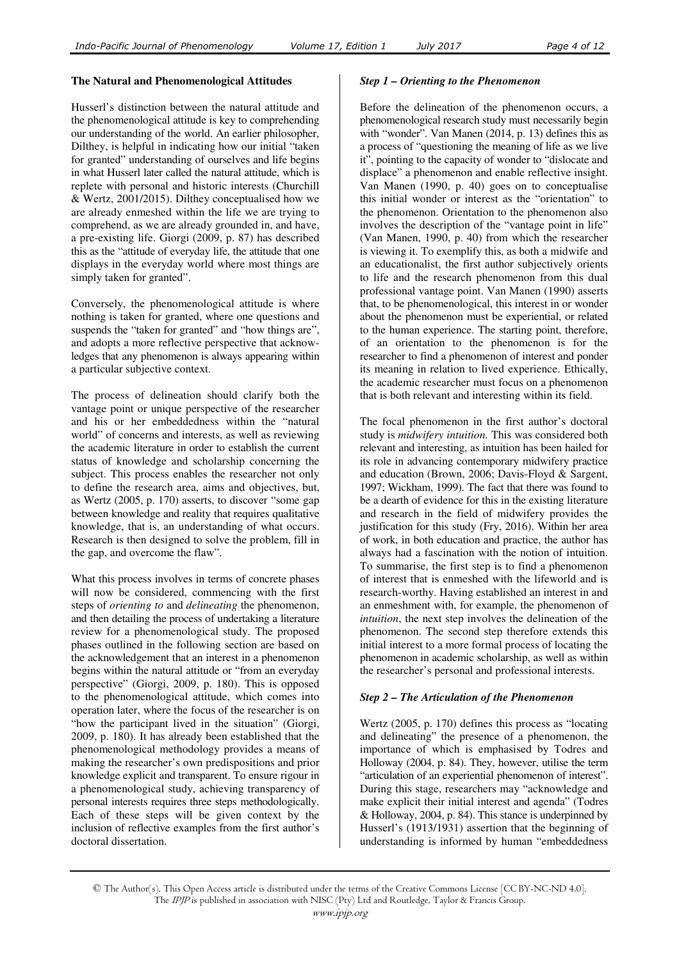## **The Natural and Phenomenological Attitudes**

Husserl's distinction between the natural attitude and the phenomenological attitude is key to comprehending our understanding of the world. An earlier philosopher, Dilthey, is helpful in indicating how our initial "taken for granted" understanding of ourselves and life begins in what Husserl later called the natural attitude, which is replete with personal and historic interests (Churchill & Wertz, 2001/2015). Dilthey conceptualised how we are already enmeshed within the life we are trying to comprehend, as we are already grounded in, and have, a pre-existing life. Giorgi (2009, p. 87) has described this as the "attitude of everyday life, the attitude that one displays in the everyday world where most things are simply taken for granted".

Conversely, the phenomenological attitude is where nothing is taken for granted, where one questions and suspends the "taken for granted" and "how things are", and adopts a more reflective perspective that acknowledges that any phenomenon is always appearing within a particular subjective context.

The process of delineation should clarify both the vantage point or unique perspective of the researcher and his or her embeddedness within the "natural world" of concerns and interests, as well as reviewing the academic literature in order to establish the current status of knowledge and scholarship concerning the subject. This process enables the researcher not only to define the research area, aims and objectives, but, as Wertz (2005, p. 170) asserts, to discover "some gap between knowledge and reality that requires qualitative knowledge, that is, an understanding of what occurs. Research is then designed to solve the problem, fill in the gap, and overcome the flaw".

What this process involves in terms of concrete phases will now be considered, commencing with the first steps of *orienting to* and *delineating* the phenomenon, and then detailing the process of undertaking a literature review for a phenomenological study. The proposed phases outlined in the following section are based on the acknowledgement that an interest in a phenomenon begins within the natural attitude or "from an everyday perspective" (Giorgi, 2009, p. 180). This is opposed to the phenomenological attitude, which comes into operation later, where the focus of the researcher is on "how the participant lived in the situation" (Giorgi, 2009, p. 180). It has already been established that the phenomenological methodology provides a means of making the researcher's own predispositions and prior knowledge explicit and transparent. To ensure rigour in a phenomenological study, achieving transparency of personal interests requires three steps methodologically. Each of these steps will be given context by the inclusion of reflective examples from the first author's doctoral dissertation.

# *Step 1 – Orienting to the Phenomenon*

Before the delineation of the phenomenon occurs, a phenomenological research study must necessarily begin with "wonder". Van Manen (2014, p. 13) defines this as a process of "questioning the meaning of life as we live it", pointing to the capacity of wonder to "dislocate and displace" a phenomenon and enable reflective insight. Van Manen (1990, p. 40) goes on to conceptualise this initial wonder or interest as the "orientation" to the phenomenon. Orientation to the phenomenon also involves the description of the "vantage point in life" (Van Manen, 1990, p. 40) from which the researcher is viewing it. To exemplify this, as both a midwife and an educationalist, the first author subjectively orients to life and the research phenomenon from this dual professional vantage point. Van Manen (1990) asserts that, to be phenomenological, this interest in or wonder about the phenomenon must be experiential, or related to the human experience. The starting point, therefore, of an orientation to the phenomenon is for the researcher to find a phenomenon of interest and ponder its meaning in relation to lived experience. Ethically, the academic researcher must focus on a phenomenon that is both relevant and interesting within its field.

The focal phenomenon in the first author's doctoral study is *midwifery intuition.* This was considered both relevant and interesting, as intuition has been hailed for its role in advancing contemporary midwifery practice and education (Brown, 2006; Davis-Floyd & Sargent, 1997; Wickham, 1999). The fact that there was found to be a dearth of evidence for this in the existing literature and research in the field of midwifery provides the justification for this study (Fry, 2016). Within her area of work, in both education and practice, the author has always had a fascination with the notion of intuition. To summarise, the first step is to find a phenomenon of interest that is enmeshed with the lifeworld and is research-worthy. Having established an interest in and an enmeshment with, for example, the phenomenon of *intuition*, the next step involves the delineation of the phenomenon. The second step therefore extends this initial interest to a more formal process of locating the phenomenon in academic scholarship, as well as within the researcher's personal and professional interests.

## *Step 2 – The Articulation of the Phenomenon*

Wertz (2005, p. 170) defines this process as "locating and delineating" the presence of a phenomenon, the importance of which is emphasised by Todres and Holloway (2004, p. 84). They, however, utilise the term "articulation of an experiential phenomenon of interest". During this stage, researchers may "acknowledge and make explicit their initial interest and agenda" (Todres & Holloway, 2004, p. 84). This stance is underpinned by Husserl's (1913/1931) assertion that the beginning of understanding is informed by human "embeddedness

<sup>©</sup> The Author(s). This Open Access article is distributed under the terms of the Creative Commons License [CC BY-NC-ND 4.0]. The IPJP is published in association with NISC (Pty) Ltd and Routledge, Taylor & Francis Group.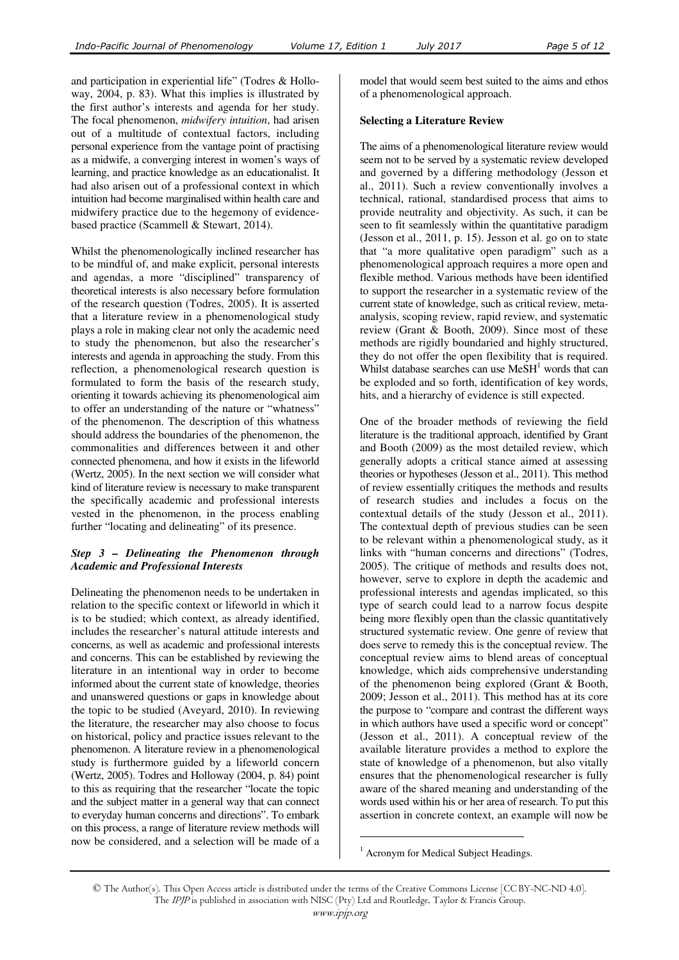and participation in experiential life" (Todres & Holloway, 2004, p. 83). What this implies is illustrated by the first author's interests and agenda for her study. The focal phenomenon, *midwifery intuition*, had arisen out of a multitude of contextual factors, including personal experience from the vantage point of practising as a midwife, a converging interest in women's ways of learning, and practice knowledge as an educationalist. It had also arisen out of a professional context in which intuition had become marginalised within health care and midwifery practice due to the hegemony of evidencebased practice (Scammell & Stewart, 2014).

Whilst the phenomenologically inclined researcher has to be mindful of, and make explicit, personal interests and agendas, a more "disciplined" transparency of theoretical interests is also necessary before formulation of the research question (Todres, 2005). It is asserted that a literature review in a phenomenological study plays a role in making clear not only the academic need to study the phenomenon, but also the researcher's interests and agenda in approaching the study. From this reflection, a phenomenological research question is formulated to form the basis of the research study, orienting it towards achieving its phenomenological aim to offer an understanding of the nature or "whatness" of the phenomenon. The description of this whatness should address the boundaries of the phenomenon, the commonalities and differences between it and other connected phenomena, and how it exists in the lifeworld (Wertz, 2005). In the next section we will consider what kind of literature review is necessary to make transparent the specifically academic and professional interests vested in the phenomenon, in the process enabling further "locating and delineating" of its presence.

# *Step 3 – Delineating the Phenomenon through Academic and Professional Interests*

Delineating the phenomenon needs to be undertaken in relation to the specific context or lifeworld in which it is to be studied; which context, as already identified, includes the researcher's natural attitude interests and concerns, as well as academic and professional interests and concerns. This can be established by reviewing the literature in an intentional way in order to become informed about the current state of knowledge, theories and unanswered questions or gaps in knowledge about the topic to be studied (Aveyard, 2010). In reviewing the literature, the researcher may also choose to focus on historical, policy and practice issues relevant to the phenomenon. A literature review in a phenomenological study is furthermore guided by a lifeworld concern (Wertz, 2005). Todres and Holloway (2004, p. 84) point to this as requiring that the researcher "locate the topic and the subject matter in a general way that can connect to everyday human concerns and directions". To embark on this process, a range of literature review methods will now be considered, and a selection will be made of a model that would seem best suited to the aims and ethos of a phenomenological approach.

#### **Selecting a Literature Review**

The aims of a phenomenological literature review would seem not to be served by a systematic review developed and governed by a differing methodology (Jesson et al., 2011). Such a review conventionally involves a technical, rational, standardised process that aims to provide neutrality and objectivity. As such, it can be seen to fit seamlessly within the quantitative paradigm (Jesson et al., 2011, p. 15). Jesson et al. go on to state that "a more qualitative open paradigm" such as a phenomenological approach requires a more open and flexible method. Various methods have been identified to support the researcher in a systematic review of the current state of knowledge, such as critical review, metaanalysis, scoping review, rapid review, and systematic review (Grant & Booth, 2009). Since most of these methods are rigidly boundaried and highly structured, they do not offer the open flexibility that is required. Whilst database searches can use  $Mearmathsf{eSH}$ <sup>1</sup> words that can be exploded and so forth, identification of key words, hits, and a hierarchy of evidence is still expected.

One of the broader methods of reviewing the field literature is the traditional approach, identified by Grant and Booth (2009) as the most detailed review, which generally adopts a critical stance aimed at assessing theories or hypotheses (Jesson et al., 2011). This method of review essentially critiques the methods and results of research studies and includes a focus on the contextual details of the study (Jesson et al., 2011). The contextual depth of previous studies can be seen to be relevant within a phenomenological study, as it links with "human concerns and directions" (Todres, 2005). The critique of methods and results does not, however, serve to explore in depth the academic and professional interests and agendas implicated, so this type of search could lead to a narrow focus despite being more flexibly open than the classic quantitatively structured systematic review. One genre of review that does serve to remedy this is the conceptual review. The conceptual review aims to blend areas of conceptual knowledge, which aids comprehensive understanding of the phenomenon being explored (Grant & Booth, 2009; Jesson et al., 2011). This method has at its core the purpose to "compare and contrast the different ways in which authors have used a specific word or concept" (Jesson et al., 2011). A conceptual review of the available literature provides a method to explore the state of knowledge of a phenomenon, but also vitally ensures that the phenomenological researcher is fully aware of the shared meaning and understanding of the words used within his or her area of research. To put this assertion in concrete context, an example will now be

<sup>1</sup> Acronym for Medical Subject Headings.

 $\overline{a}$ 

<sup>©</sup> The Author(s). This Open Access article is distributed under the terms of the Creative Commons License [CC BY-NC-ND 4.0]. The IPJP is published in association with NISC (Pty) Ltd and Routledge, Taylor & Francis Group.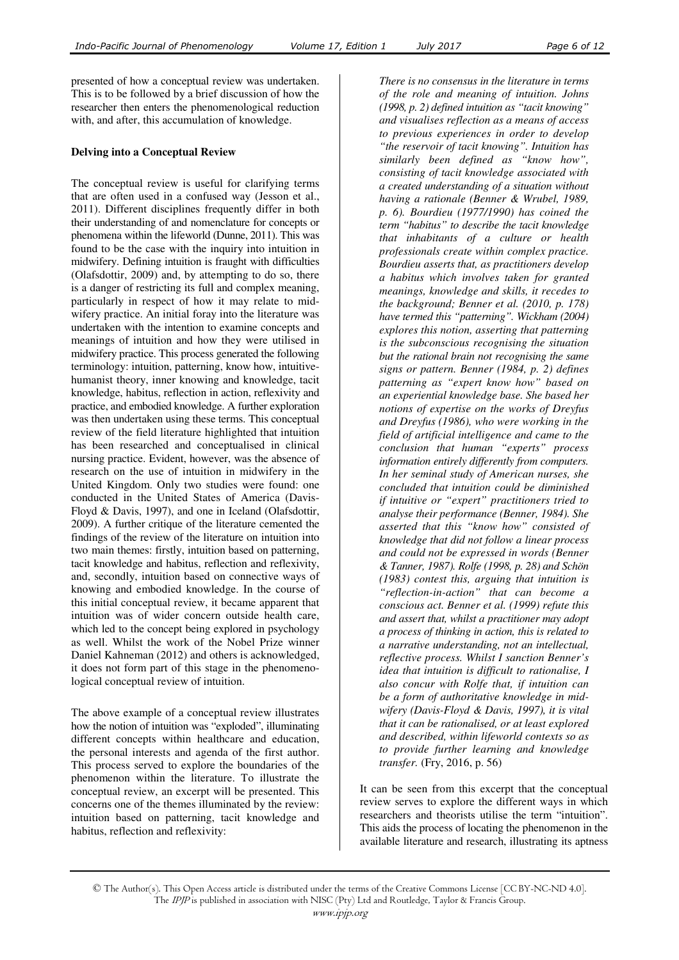presented of how a conceptual review was undertaken. This is to be followed by a brief discussion of how the researcher then enters the phenomenological reduction with, and after, this accumulation of knowledge.

#### **Delving into a Conceptual Review**

The conceptual review is useful for clarifying terms that are often used in a confused way (Jesson et al., 2011). Different disciplines frequently differ in both their understanding of and nomenclature for concepts or phenomena within the lifeworld (Dunne, 2011). This was found to be the case with the inquiry into intuition in midwifery. Defining intuition is fraught with difficulties (Olafsdottir, 2009) and, by attempting to do so, there is a danger of restricting its full and complex meaning, particularly in respect of how it may relate to midwifery practice. An initial foray into the literature was undertaken with the intention to examine concepts and meanings of intuition and how they were utilised in midwifery practice. This process generated the following terminology: intuition, patterning, know how, intuitivehumanist theory, inner knowing and knowledge, tacit knowledge, habitus, reflection in action, reflexivity and practice, and embodied knowledge. A further exploration was then undertaken using these terms. This conceptual review of the field literature highlighted that intuition has been researched and conceptualised in clinical nursing practice. Evident, however, was the absence of research on the use of intuition in midwifery in the United Kingdom. Only two studies were found: one conducted in the United States of America (Davis-Floyd & Davis, 1997), and one in Iceland (Olafsdottir, 2009). A further critique of the literature cemented the findings of the review of the literature on intuition into two main themes: firstly, intuition based on patterning, tacit knowledge and habitus, reflection and reflexivity, and, secondly, intuition based on connective ways of knowing and embodied knowledge. In the course of this initial conceptual review, it became apparent that intuition was of wider concern outside health care, which led to the concept being explored in psychology as well. Whilst the work of the Nobel Prize winner Daniel Kahneman (2012) and others is acknowledged, it does not form part of this stage in the phenomenological conceptual review of intuition.

The above example of a conceptual review illustrates how the notion of intuition was "exploded", illuminating different concepts within healthcare and education, the personal interests and agenda of the first author. This process served to explore the boundaries of the phenomenon within the literature. To illustrate the conceptual review, an excerpt will be presented. This concerns one of the themes illuminated by the review: intuition based on patterning, tacit knowledge and habitus, reflection and reflexivity:

*There is no consensus in the literature in terms of the role and meaning of intuition. Johns (1998, p. 2) defined intuition as "tacit knowing" and visualises reflection as a means of access to previous experiences in order to develop "the reservoir of tacit knowing". Intuition has similarly been defined as "know how", consisting of tacit knowledge associated with a created understanding of a situation without having a rationale (Benner & Wrubel, 1989, p. 6). Bourdieu (1977/1990) has coined the term "habitus" to describe the tacit knowledge that inhabitants of a culture or health professionals create within complex practice. Bourdieu asserts that, as practitioners develop a habitus which involves taken for granted meanings, knowledge and skills, it recedes to the background; Benner et al. (2010, p. 178) have termed this "patterning". Wickham (2004) explores this notion, asserting that patterning is the subconscious recognising the situation but the rational brain not recognising the same signs or pattern. Benner (1984, p. 2) defines patterning as "expert know how" based on an experiential knowledge base. She based her notions of expertise on the works of Dreyfus and Dreyfus (1986), who were working in the field of artificial intelligence and came to the conclusion that human "experts" process information entirely differently from computers. In her seminal study of American nurses, she concluded that intuition could be diminished if intuitive or "expert" practitioners tried to analyse their performance (Benner, 1984). She asserted that this "know how" consisted of knowledge that did not follow a linear process and could not be expressed in words (Benner & Tanner, 1987). Rolfe (1998, p. 28) and Schön (1983) contest this, arguing that intuition is "reflection-in-action" that can become a conscious act. Benner et al. (1999) refute this and assert that, whilst a practitioner may adopt a process of thinking in action, this is related to a narrative understanding, not an intellectual, reflective process. Whilst I sanction Benner's idea that intuition is difficult to rationalise, I also concur with Rolfe that, if intuition can be a form of authoritative knowledge in midwifery (Davis-Floyd & Davis, 1997), it is vital that it can be rationalised, or at least explored and described, within lifeworld contexts so as to provide further learning and knowledge transfer.* (Fry, 2016, p. 56)

It can be seen from this excerpt that the conceptual review serves to explore the different ways in which researchers and theorists utilise the term "intuition". This aids the process of locating the phenomenon in the available literature and research, illustrating its aptness

<sup>©</sup> The Author(s). This Open Access article is distributed under the terms of the Creative Commons License [CC BY-NC-ND 4.0]. The IPJP is published in association with NISC (Pty) Ltd and Routledge, Taylor & Francis Group.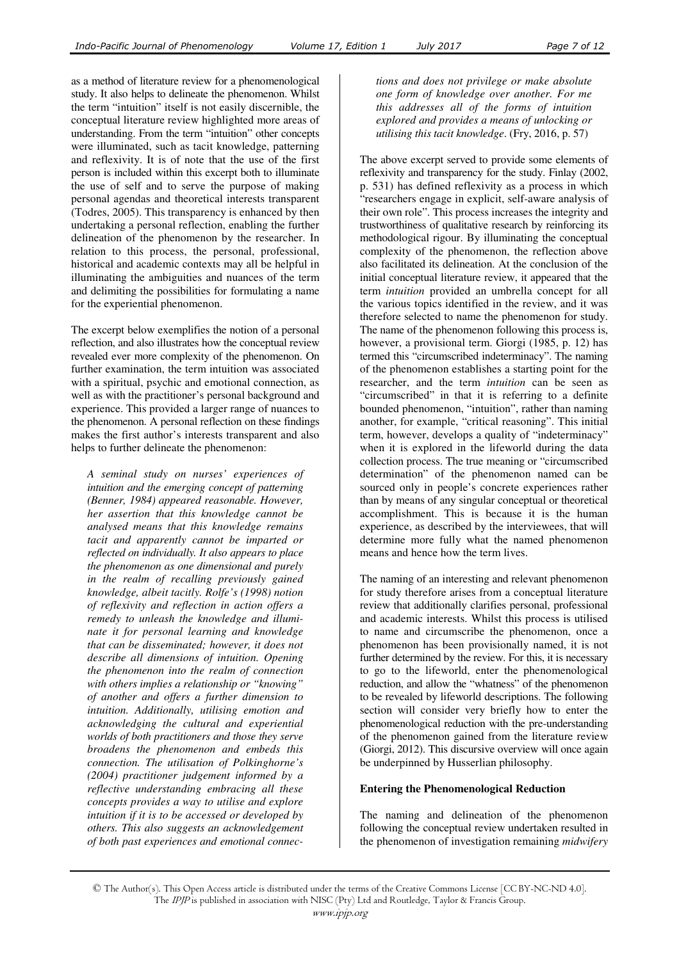as a method of literature review for a phenomenological study. It also helps to delineate the phenomenon. Whilst the term "intuition" itself is not easily discernible, the conceptual literature review highlighted more areas of understanding. From the term "intuition" other concepts were illuminated, such as tacit knowledge, patterning and reflexivity. It is of note that the use of the first person is included within this excerpt both to illuminate the use of self and to serve the purpose of making personal agendas and theoretical interests transparent (Todres, 2005). This transparency is enhanced by then undertaking a personal reflection, enabling the further delineation of the phenomenon by the researcher. In relation to this process, the personal, professional, historical and academic contexts may all be helpful in illuminating the ambiguities and nuances of the term and delimiting the possibilities for formulating a name for the experiential phenomenon.

The excerpt below exemplifies the notion of a personal reflection, and also illustrates how the conceptual review revealed ever more complexity of the phenomenon. On further examination, the term intuition was associated with a spiritual, psychic and emotional connection, as well as with the practitioner's personal background and experience. This provided a larger range of nuances to the phenomenon. A personal reflection on these findings makes the first author's interests transparent and also helps to further delineate the phenomenon:

*A seminal study on nurses' experiences of intuition and the emerging concept of patterning (Benner, 1984) appeared reasonable. However, her assertion that this knowledge cannot be analysed means that this knowledge remains tacit and apparently cannot be imparted or reflected on individually. It also appears to place the phenomenon as one dimensional and purely in the realm of recalling previously gained knowledge, albeit tacitly. Rolfe's (1998) notion of reflexivity and reflection in action offers a remedy to unleash the knowledge and illuminate it for personal learning and knowledge that can be disseminated; however, it does not describe all dimensions of intuition. Opening the phenomenon into the realm of connection with others implies a relationship or "knowing" of another and offers a further dimension to intuition. Additionally, utilising emotion and acknowledging the cultural and experiential worlds of both practitioners and those they serve broadens the phenomenon and embeds this connection. The utilisation of Polkinghorne's (2004) practitioner judgement informed by a reflective understanding embracing all these concepts provides a way to utilise and explore intuition if it is to be accessed or developed by others. This also suggests an acknowledgement of both past experiences and emotional connec-* *tions and does not privilege or make absolute one form of knowledge over another. For me this addresses all of the forms of intuition explored and provides a means of unlocking or utilising this tacit knowledge*. (Fry, 2016, p. 57)

The above excerpt served to provide some elements of reflexivity and transparency for the study. Finlay (2002, p. 531) has defined reflexivity as a process in which "researchers engage in explicit, self-aware analysis of their own role". This process increases the integrity and trustworthiness of qualitative research by reinforcing its methodological rigour. By illuminating the conceptual complexity of the phenomenon, the reflection above also facilitated its delineation. At the conclusion of the initial conceptual literature review, it appeared that the term *intuition* provided an umbrella concept for all the various topics identified in the review, and it was therefore selected to name the phenomenon for study. The name of the phenomenon following this process is, however, a provisional term. Giorgi (1985, p. 12) has termed this "circumscribed indeterminacy". The naming of the phenomenon establishes a starting point for the researcher, and the term *intuition* can be seen as "circumscribed" in that it is referring to a definite bounded phenomenon, "intuition", rather than naming another, for example, "critical reasoning". This initial term, however, develops a quality of "indeterminacy" when it is explored in the lifeworld during the data collection process. The true meaning or "circumscribed determination" of the phenomenon named can be sourced only in people's concrete experiences rather than by means of any singular conceptual or theoretical accomplishment. This is because it is the human experience, as described by the interviewees, that will determine more fully what the named phenomenon means and hence how the term lives.

The naming of an interesting and relevant phenomenon for study therefore arises from a conceptual literature review that additionally clarifies personal, professional and academic interests. Whilst this process is utilised to name and circumscribe the phenomenon, once a phenomenon has been provisionally named, it is not further determined by the review. For this, it is necessary to go to the lifeworld, enter the phenomenological reduction, and allow the "whatness" of the phenomenon to be revealed by lifeworld descriptions. The following section will consider very briefly how to enter the phenomenological reduction with the pre-understanding of the phenomenon gained from the literature review (Giorgi, 2012). This discursive overview will once again be underpinned by Husserlian philosophy.

#### **Entering the Phenomenological Reduction**

The naming and delineation of the phenomenon following the conceptual review undertaken resulted in the phenomenon of investigation remaining *midwifery* 

<sup>©</sup> The Author(s). This Open Access article is distributed under the terms of the Creative Commons License [CC BY-NC-ND 4.0]. The IPJP is published in association with NISC (Pty) Ltd and Routledge, Taylor & Francis Group.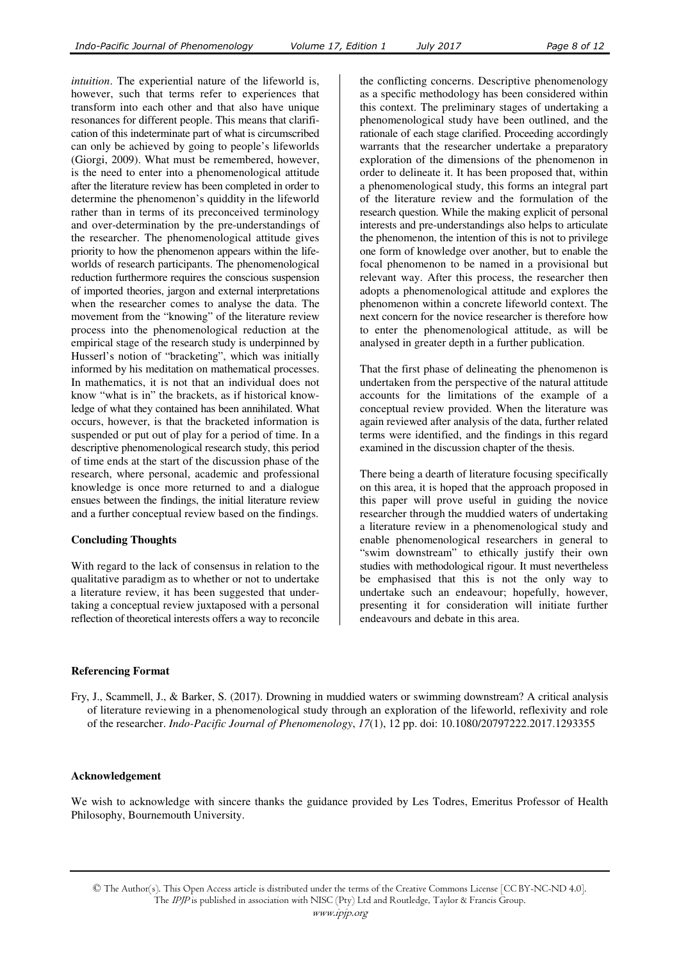*intuition*. The experiential nature of the lifeworld is, however, such that terms refer to experiences that transform into each other and that also have unique resonances for different people. This means that clarification of this indeterminate part of what is circumscribed can only be achieved by going to people's lifeworlds (Giorgi, 2009). What must be remembered, however, is the need to enter into a phenomenological attitude after the literature review has been completed in order to determine the phenomenon's quiddity in the lifeworld rather than in terms of its preconceived terminology and over-determination by the pre-understandings of the researcher. The phenomenological attitude gives priority to how the phenomenon appears within the lifeworlds of research participants. The phenomenological reduction furthermore requires the conscious suspension of imported theories, jargon and external interpretations when the researcher comes to analyse the data. The movement from the "knowing" of the literature review process into the phenomenological reduction at the empirical stage of the research study is underpinned by Husserl's notion of "bracketing", which was initially informed by his meditation on mathematical processes. In mathematics, it is not that an individual does not know "what is in" the brackets, as if historical knowledge of what they contained has been annihilated. What occurs, however, is that the bracketed information is suspended or put out of play for a period of time. In a descriptive phenomenological research study, this period of time ends at the start of the discussion phase of the research, where personal, academic and professional knowledge is once more returned to and a dialogue ensues between the findings, the initial literature review and a further conceptual review based on the findings.

## **Concluding Thoughts**

With regard to the lack of consensus in relation to the qualitative paradigm as to whether or not to undertake a literature review, it has been suggested that undertaking a conceptual review juxtaposed with a personal reflection of theoretical interests offers a way to reconcile the conflicting concerns. Descriptive phenomenology as a specific methodology has been considered within this context. The preliminary stages of undertaking a phenomenological study have been outlined, and the rationale of each stage clarified. Proceeding accordingly warrants that the researcher undertake a preparatory exploration of the dimensions of the phenomenon in order to delineate it. It has been proposed that, within a phenomenological study, this forms an integral part of the literature review and the formulation of the research question. While the making explicit of personal interests and pre-understandings also helps to articulate the phenomenon, the intention of this is not to privilege one form of knowledge over another, but to enable the focal phenomenon to be named in a provisional but relevant way. After this process, the researcher then adopts a phenomenological attitude and explores the phenomenon within a concrete lifeworld context. The next concern for the novice researcher is therefore how to enter the phenomenological attitude, as will be analysed in greater depth in a further publication.

That the first phase of delineating the phenomenon is undertaken from the perspective of the natural attitude accounts for the limitations of the example of a conceptual review provided. When the literature was again reviewed after analysis of the data, further related terms were identified, and the findings in this regard examined in the discussion chapter of the thesis.

There being a dearth of literature focusing specifically on this area, it is hoped that the approach proposed in this paper will prove useful in guiding the novice researcher through the muddied waters of undertaking a literature review in a phenomenological study and enable phenomenological researchers in general to "swim downstream" to ethically justify their own studies with methodological rigour. It must nevertheless be emphasised that this is not the only way to undertake such an endeavour; hopefully, however, presenting it for consideration will initiate further endeavours and debate in this area.

#### **Referencing Format**

Fry, J., Scammell, J., & Barker, S. (2017). Drowning in muddied waters or swimming downstream? A critical analysis of literature reviewing in a phenomenological study through an exploration of the lifeworld, reflexivity and role of the researcher. *Indo-Pacific Journal of Phenomenology*, *17*(1), 12 pp. doi: 10.1080/20797222.2017.1293355

#### **Acknowledgement**

We wish to acknowledge with sincere thanks the guidance provided by Les Todres, Emeritus Professor of Health Philosophy, Bournemouth University.

<sup>©</sup> The Author(s). This Open Access article is distributed under the terms of the Creative Commons License [CC BY-NC-ND 4.0]. The IPJP is published in association with NISC (Pty) Ltd and Routledge, Taylor & Francis Group.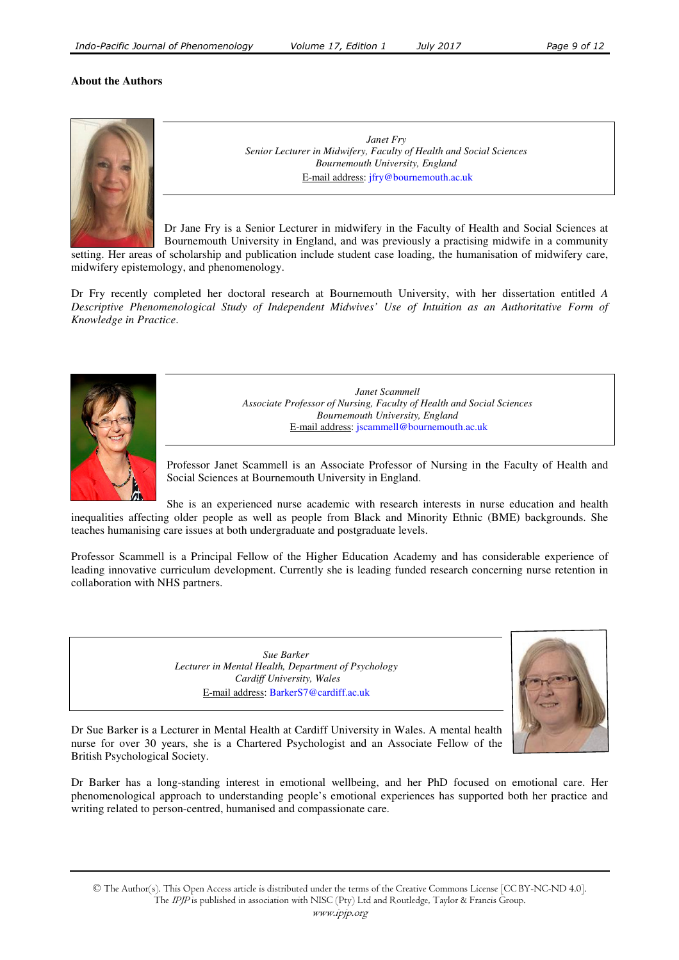# **About the Authors**



*Janet Fry Senior Lecturer in Midwifery, Faculty of Health and Social Sciences Bournemouth University, England*  E-mail address: jfry@bournemouth.ac.uk

Dr Jane Fry is a Senior Lecturer in midwifery in the Faculty of Health and Social Sciences at Bournemouth University in England, and was previously a practising midwife in a community

setting. Her areas of scholarship and publication include student case loading, the humanisation of midwifery care, midwifery epistemology, and phenomenology.

Dr Fry recently completed her doctoral research at Bournemouth University, with her dissertation entitled *A Descriptive Phenomenological Study of Independent Midwives' Use of Intuition as an Authoritative Form of Knowledge in Practice*.



*Janet Scammell Associate Professor of Nursing, Faculty of Health and Social Sciences Bournemouth University, England*  E-mail address: jscammell@bournemouth.ac.uk

Professor Janet Scammell is an Associate Professor of Nursing in the Faculty of Health and Social Sciences at Bournemouth University in England.

She is an experienced nurse academic with research interests in nurse education and health inequalities affecting older people as well as people from Black and Minority Ethnic (BME) backgrounds. She teaches humanising care issues at both undergraduate and postgraduate levels.

Professor Scammell is a Principal Fellow of the Higher Education Academy and has considerable experience of leading innovative curriculum development. Currently she is leading funded research concerning nurse retention in collaboration with NHS partners.

> *Sue Barker Lecturer in Mental Health, Department of Psychology Cardiff University, Wales*  E-mail address: BarkerS7@cardiff.ac.uk



Dr Sue Barker is a Lecturer in Mental Health at Cardiff University in Wales. A mental health nurse for over 30 years, she is a Chartered Psychologist and an Associate Fellow of the British Psychological Society.

Dr Barker has a long-standing interest in emotional wellbeing, and her PhD focused on emotional care. Her phenomenological approach to understanding people's emotional experiences has supported both her practice and writing related to person-centred, humanised and compassionate care.

<sup>©</sup> The Author(s). This Open Access article is distributed under the terms of the Creative Commons License [CC BY-NC-ND 4.0]. The IPJP is published in association with NISC (Pty) Ltd and Routledge, Taylor & Francis Group.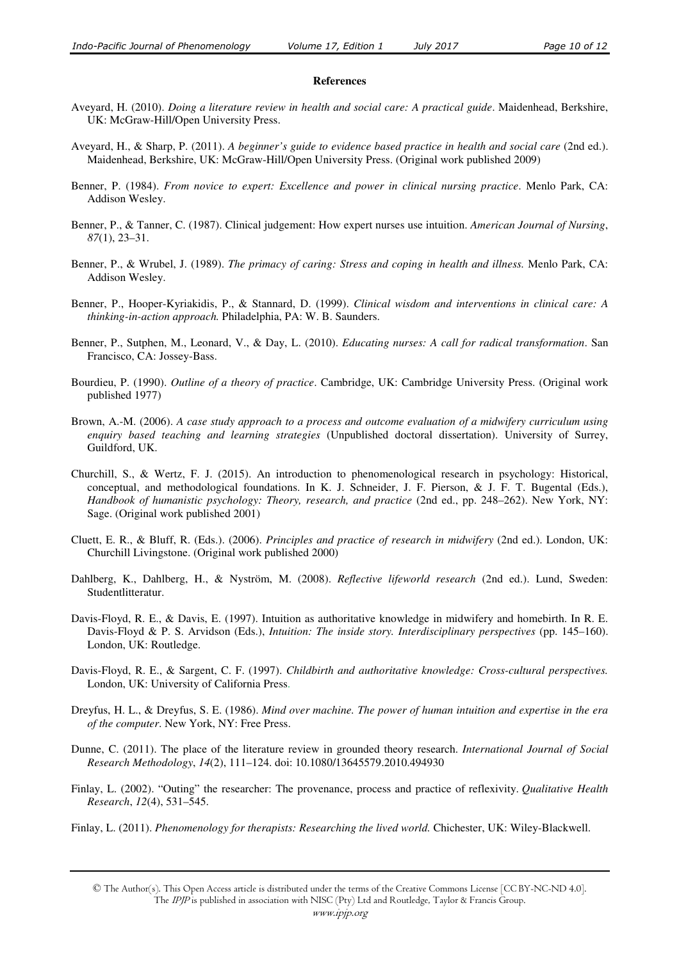#### **References**

- Aveyard, H. (2010). *Doing a literature review in health and social care: A practical guide*. Maidenhead, Berkshire, UK: McGraw-Hill/Open University Press.
- Aveyard, H., & Sharp, P. (2011). *A beginner's guide to evidence based practice in health and social care* (2nd ed.). Maidenhead, Berkshire, UK: McGraw-Hill/Open University Press. (Original work published 2009)
- Benner, P. (1984). *From novice to expert: Excellence and power in clinical nursing practice*. Menlo Park, CA: Addison Wesley.
- Benner, P., & Tanner, C. (1987). Clinical judgement: How expert nurses use intuition. *American Journal of Nursing*, *87*(1), 23–31.
- Benner, P., & Wrubel, J. (1989). *The primacy of caring: Stress and coping in health and illness.* Menlo Park, CA: Addison Wesley.
- Benner, P., Hooper-Kyriakidis, P., & Stannard, D. (1999). *Clinical wisdom and interventions in clinical care: A thinking-in-action approach.* Philadelphia, PA: W. B. Saunders.
- Benner, P., Sutphen, M., Leonard, V., & Day, L. (2010). *Educating nurses: A call for radical transformation*. San Francisco, CA: Jossey-Bass.
- Bourdieu, P. (1990). *Outline of a theory of practice*. Cambridge, UK: Cambridge University Press. (Original work published 1977)
- Brown, A.-M. (2006). *A case study approach to a process and outcome evaluation of a midwifery curriculum using enquiry based teaching and learning strategies* (Unpublished doctoral dissertation). University of Surrey, Guildford, UK.
- Churchill, S., & Wertz, F. J. (2015). An introduction to phenomenological research in psychology: Historical, conceptual, and methodological foundations. In K. J. Schneider, J. F. Pierson, & J. F. T. Bugental (Eds.), *Handbook of humanistic psychology: Theory, research, and practice* (2nd ed., pp. 248–262). New York, NY: Sage. (Original work published 2001)
- Cluett, E. R., & Bluff, R. (Eds.). (2006). *Principles and practice of research in midwifery* (2nd ed.). London, UK: Churchill Livingstone. (Original work published 2000)
- Dahlberg, K., Dahlberg, H., & Nyström, M. (2008). *Reflective lifeworld research* (2nd ed.). Lund, Sweden: Studentlitteratur.
- Davis-Floyd, R. E., & Davis, E. (1997). Intuition as authoritative knowledge in midwifery and homebirth. In R. E. Davis-Floyd & P. S. Arvidson (Eds.), *Intuition: The inside story. Interdisciplinary perspectives* (pp. 145–160). London, UK: Routledge.
- Davis-Floyd, R. E., & Sargent, C. F. (1997). *Childbirth and authoritative knowledge: Cross-cultural perspectives.*  London, UK: University of California Press.
- Dreyfus, H. L., & Dreyfus, S. E. (1986). *Mind over machine. The power of human intuition and expertise in the era of the computer*. New York, NY: Free Press.
- Dunne, C. (2011). The place of the literature review in grounded theory research. *International Journal of Social Research Methodology*, *14*(2), 111–124. doi: 10.1080/13645579.2010.494930
- Finlay, L. (2002). "Outing" the researcher: The provenance, process and practice of reflexivity. *Qualitative Health Research*, *12*(4), 531–545.
- Finlay, L. (2011). *Phenomenology for therapists: Researching the lived world.* Chichester, UK: Wiley-Blackwell.

<sup>©</sup> The Author(s). This Open Access article is distributed under the terms of the Creative Commons License [CC BY-NC-ND 4.0]. The IPJP is published in association with NISC (Pty) Ltd and Routledge, Taylor & Francis Group.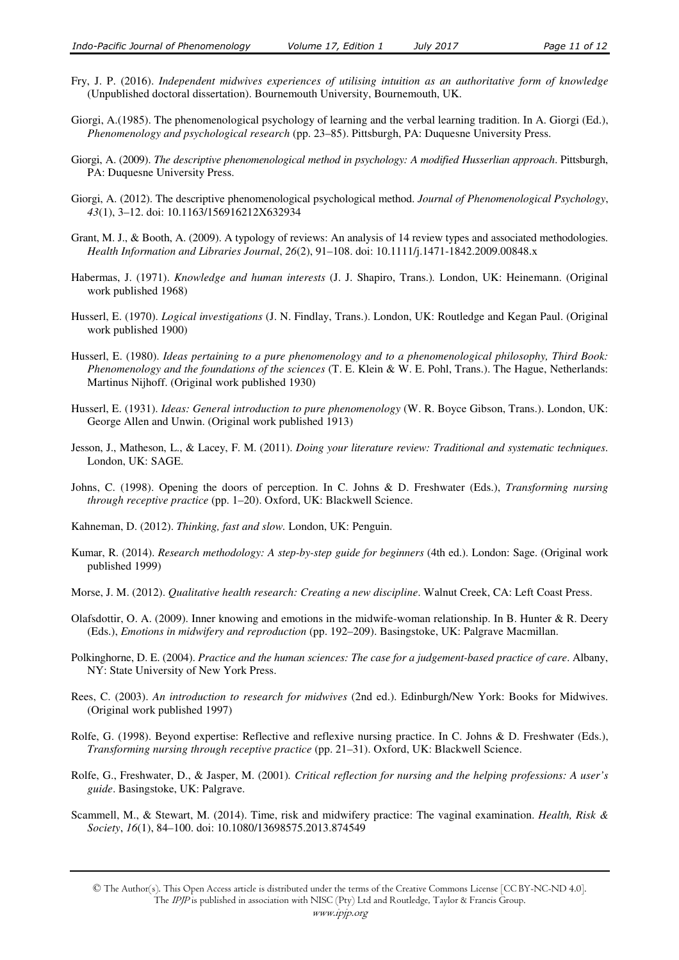- Fry, J. P. (2016). *Independent midwives experiences of utilising intuition as an authoritative form of knowledge* (Unpublished doctoral dissertation). Bournemouth University, Bournemouth, UK.
- Giorgi, A.(1985). The phenomenological psychology of learning and the verbal learning tradition. In A. Giorgi (Ed.), *Phenomenology and psychological research* (pp. 23–85). Pittsburgh, PA: Duquesne University Press.
- Giorgi, A. (2009). *The descriptive phenomenological method in psychology: A modified Husserlian approach*. Pittsburgh, PA: Duquesne University Press.
- Giorgi, A. (2012). The descriptive phenomenological psychological method. *Journal of Phenomenological Psychology*, *43*(1), 3–12. doi: 10.1163/156916212X632934
- Grant, M. J., & Booth, A. (2009). A typology of reviews: An analysis of 14 review types and associated methodologies. *Health Information and Libraries Journal*, *26*(2), 91–108. doi: 10.1111/j.1471-1842.2009.00848.x
- Habermas, J. (1971). *Knowledge and human interests* (J. J. Shapiro, Trans.)*.* London, UK: Heinemann. (Original work published 1968)
- Husserl, E. (1970). *Logical investigations* (J. N. Findlay, Trans.). London, UK: Routledge and Kegan Paul. (Original work published 1900)
- Husserl, E. (1980). *Ideas pertaining to a pure phenomenology and to a phenomenological philosophy, Third Book: Phenomenology and the foundations of the sciences* (T. E. Klein & W. E. Pohl, Trans.). The Hague, Netherlands: Martinus Nijhoff. (Original work published 1930)
- Husserl, E. (1931). *Ideas: General introduction to pure phenomenology* (W. R. Boyce Gibson, Trans.). London, UK: George Allen and Unwin. (Original work published 1913)
- Jesson, J., Matheson, L., & Lacey, F. M. (2011). *Doing your literature review: Traditional and systematic techniques*. London, UK: SAGE.
- Johns, C. (1998). Opening the doors of perception. In C. Johns & D. Freshwater (Eds.), *Transforming nursing through receptive practice* (pp. 1–20). Oxford, UK: Blackwell Science.
- Kahneman, D. (2012). *Thinking, fast and slow.* London, UK: Penguin.
- Kumar, R. (2014). *Research methodology: A step-by-step guide for beginners* (4th ed.). London: Sage. (Original work published 1999)
- Morse, J. M. (2012). *Qualitative health research: Creating a new discipline*. Walnut Creek, CA: Left Coast Press.
- Olafsdottir, O. A. (2009). Inner knowing and emotions in the midwife-woman relationship. In B. Hunter & R. Deery (Eds.), *Emotions in midwifery and reproduction* (pp. 192–209). Basingstoke, UK: Palgrave Macmillan.
- Polkinghorne, D. E. (2004). *Practice and the human sciences: The case for a judgement-based practice of care*. Albany, NY: State University of New York Press.
- Rees, C. (2003). *An introduction to research for midwives* (2nd ed.). Edinburgh/New York: Books for Midwives. (Original work published 1997)
- Rolfe, G. (1998). Beyond expertise: Reflective and reflexive nursing practice. In C. Johns & D. Freshwater (Eds.), *Transforming nursing through receptive practice* (pp. 21–31). Oxford, UK: Blackwell Science.
- Rolfe, G., Freshwater, D., & Jasper, M. (2001)*. Critical reflection for nursing and the helping professions: A user's guide*. Basingstoke, UK: Palgrave.
- Scammell, M., & Stewart, M. (2014). Time, risk and midwifery practice: The vaginal examination. *Health, Risk & Society*, *16*(1), 84–100. doi: 10.1080/13698575.2013.874549

<sup>©</sup> The Author(s). This Open Access article is distributed under the terms of the Creative Commons License [CC BY-NC-ND 4.0]. The IPJP is published in association with NISC (Pty) Ltd and Routledge, Taylor & Francis Group.